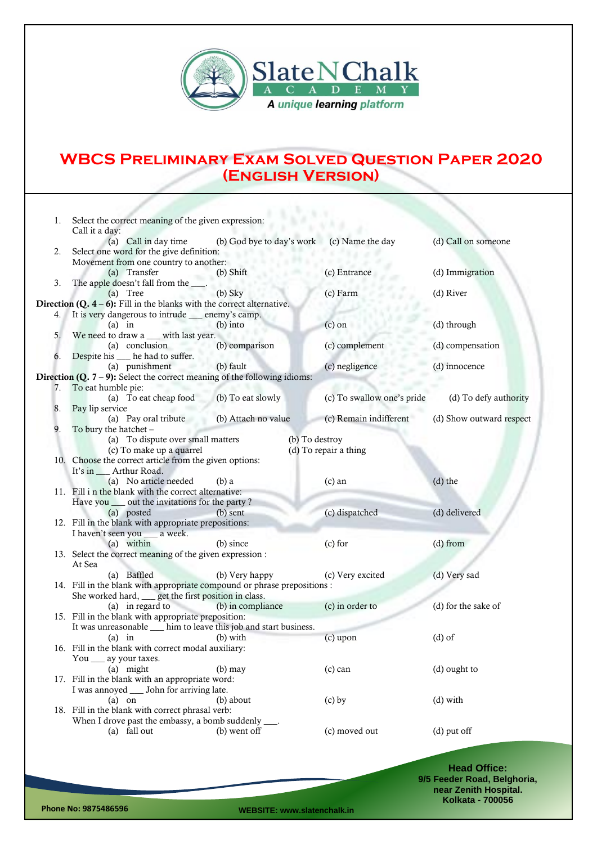

## **WBCS Preliminary Exam Solved Question Paper 2020 (English Version)**

| 1. | Select the correct meaning of the given expression:<br>Call it a day:         |                                            |                            |                          |  |  |  |  |
|----|-------------------------------------------------------------------------------|--------------------------------------------|----------------------------|--------------------------|--|--|--|--|
|    | (a) Call in day time                                                          | (b) God bye to day's work (c) Name the day |                            | (d) Call on someone      |  |  |  |  |
| 2. | Select one word for the give definition:                                      |                                            |                            |                          |  |  |  |  |
|    | Movement from one country to another:                                         |                                            |                            |                          |  |  |  |  |
|    | (a) Transfer                                                                  | $(b)$ Shift                                | (c) Entrance               | (d) Immigration          |  |  |  |  |
| 3. | The apple doesn't fall from the _                                             |                                            |                            |                          |  |  |  |  |
|    | (a) Tree                                                                      | $(b)$ Sky                                  | (c) Farm                   | (d) River                |  |  |  |  |
|    | <b>Direction (Q. 4 – 6):</b> Fill in the blanks with the correct alternative. |                                            |                            |                          |  |  |  |  |
| 4. | It is very dangerous to intrude _____ enemy's camp.                           |                                            |                            |                          |  |  |  |  |
|    | $(a)$ in                                                                      | $(b)$ into                                 | $(c)$ on                   | (d) through              |  |  |  |  |
| 5. | We need to draw a __ with last year.                                          |                                            |                            |                          |  |  |  |  |
|    | (a) conclusion                                                                | (b) comparison                             | (c) complement             | (d) compensation         |  |  |  |  |
| 6. | Despite his __ he had to suffer.                                              |                                            |                            |                          |  |  |  |  |
|    | (a) punishment                                                                | (b) fault                                  | (c) negligence             | (d) innocence            |  |  |  |  |
|    | Direction $(Q. 7 - 9)$ : Select the correct meaning of the following idioms:  |                                            |                            |                          |  |  |  |  |
| 7. | To eat humble pie:                                                            |                                            |                            |                          |  |  |  |  |
|    | (a) To eat cheap food                                                         | (b) To eat slowly                          | (c) To swallow one's pride | (d) To defy authority    |  |  |  |  |
| 8. | Pay lip service                                                               |                                            |                            |                          |  |  |  |  |
|    | (a) Pay oral tribute                                                          | (b) Attach no value                        | (c) Remain indifferent     | (d) Show outward respect |  |  |  |  |
| 9. | To bury the hatchet -                                                         |                                            |                            |                          |  |  |  |  |
|    | (a) To dispute over small matters<br>(b) To destroy                           |                                            |                            |                          |  |  |  |  |
|    | (c) To make up a quarrel                                                      |                                            | (d) To repair a thing      |                          |  |  |  |  |
|    | 10. Choose the correct article from the given options:                        |                                            |                            |                          |  |  |  |  |
|    | It's in ____ Arthur Road.                                                     |                                            |                            |                          |  |  |  |  |
|    | (a) No article needed                                                         | $(b)$ a                                    | $(c)$ an                   | $(d)$ the                |  |  |  |  |
|    | 11. Fill i n the blank with the correct alternative:                          |                                            |                            |                          |  |  |  |  |
|    | Have you ____ out the invitations for the party?                              |                                            |                            |                          |  |  |  |  |
|    | (a) posted                                                                    | $(b)$ sent                                 | (c) dispatched             | (d) delivered            |  |  |  |  |
|    | 12. Fill in the blank with appropriate prepositions:                          |                                            |                            |                          |  |  |  |  |
|    | I haven't seen you __ a week.                                                 |                                            |                            |                          |  |  |  |  |
|    | (a) within                                                                    | (b) since                                  | $(c)$ for                  | $(d)$ from               |  |  |  |  |
|    | 13. Select the correct meaning of the given expression :                      |                                            |                            |                          |  |  |  |  |
|    | At Sea                                                                        |                                            |                            |                          |  |  |  |  |
|    | (a) Baffled                                                                   | (b) Very happy                             | (c) Very excited           | (d) Very sad             |  |  |  |  |
|    | 14. Fill in the blank with appropriate compound or phrase prepositions :      |                                            |                            |                          |  |  |  |  |
|    | She worked hard, get the first position in class.                             |                                            |                            |                          |  |  |  |  |
|    | (a) in regard to                                                              | (b) in compliance                          | (c) in order to            | (d) for the sake of      |  |  |  |  |
|    | 15. Fill in the blank with appropriate preposition:                           |                                            |                            |                          |  |  |  |  |
|    | It was unreasonable ___ him to leave this job and start business.             |                                            |                            |                          |  |  |  |  |
|    | $(a)$ in                                                                      | (b) with                                   | $(c)$ upon                 | $(d)$ of                 |  |  |  |  |
|    | 16. Fill in the blank with correct modal auxiliary:                           |                                            |                            |                          |  |  |  |  |
|    | You __ ay your taxes.                                                         |                                            |                            |                          |  |  |  |  |
|    | (a) might                                                                     | $(b)$ may                                  | $(c)$ can                  | (d) ought to             |  |  |  |  |
|    | 17. Fill in the blank with an appropriate word:                               |                                            |                            |                          |  |  |  |  |
|    | I was annoyed ____ John for arriving late.                                    |                                            |                            |                          |  |  |  |  |
|    | $(a)$ on                                                                      | (b) about                                  | $(c)$ by                   | $(d)$ with               |  |  |  |  |
|    | 18. Fill in the blank with correct phrasal verb:                              |                                            |                            |                          |  |  |  |  |
|    | When I drove past the embassy, a bomb suddenly ____.                          |                                            |                            |                          |  |  |  |  |
|    | (a) fall out                                                                  | (b) went off                               | (c) moved out              | (d) put off              |  |  |  |  |
|    |                                                                               |                                            |                            |                          |  |  |  |  |
|    |                                                                               |                                            |                            |                          |  |  |  |  |

**Head Office: 9/5 Feeder Road, Belghoria, near Zenith Hospital. Kolkata - 700056**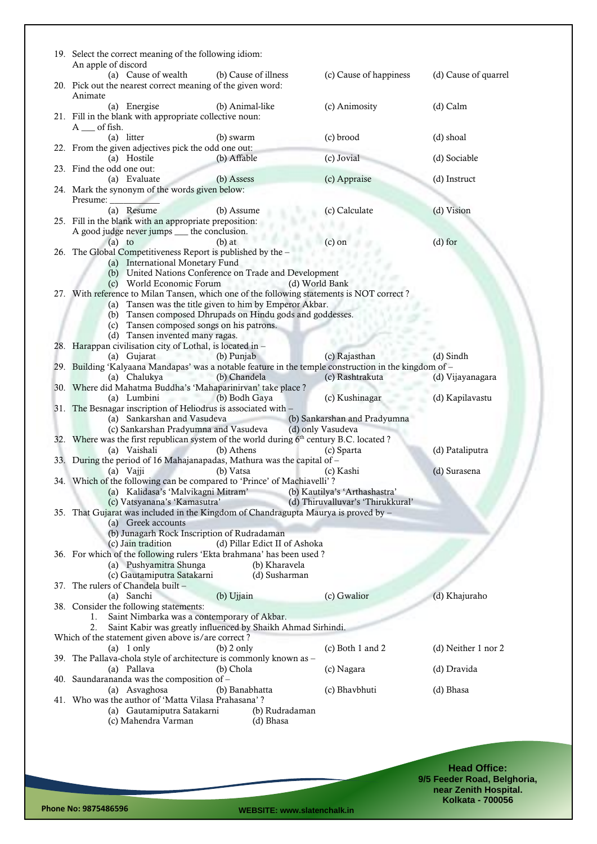| 19. Select the correct meaning of the following idiom:<br>An apple of discord<br>(a) Cause of wealth                              |                                     | (c) Cause of happiness            |                      |
|-----------------------------------------------------------------------------------------------------------------------------------|-------------------------------------|-----------------------------------|----------------------|
| 20. Pick out the nearest correct meaning of the given word:<br>Animate                                                            | (b) Cause of illness                |                                   | (d) Cause of quarrel |
| (a) Energise<br>(b) Animal-like<br>21. Fill in the blank with appropriate collective noun:<br>$A$ __ of fish.                     |                                     | (c) Animosity                     | (d) Calm             |
| (a) litter<br>(b) swarm                                                                                                           |                                     | (c) brood                         | (d) shoal            |
| 22. From the given adjectives pick the odd one out:<br>(a) Hostile<br>(b) Affable                                                 |                                     | (c) Jovial                        | (d) Sociable         |
| 23. Find the odd one out:<br>(a) Evaluate<br>(b) Assess                                                                           |                                     | (c) Appraise                      | (d) Instruct         |
| 24. Mark the synonym of the words given below:                                                                                    |                                     |                                   |                      |
| Presume:                                                                                                                          |                                     |                                   |                      |
| (a) Resume<br>(b) Assume<br>25. Fill in the blank with an appropriate preposition:<br>A good judge never jumps __ the conclusion. |                                     | (c) Calculate                     | (d) Vision           |
| $(b)$ at<br>$(a)$ to                                                                                                              |                                     | (c) on                            | $(d)$ for            |
| 26. The Global Competitiveness Report is published by the -                                                                       |                                     |                                   |                      |
| (a) International Monetary Fund                                                                                                   |                                     |                                   |                      |
| (b) United Nations Conference on Trade and Development<br>(c) World Economic Forum                                                | (d) World Bank<br><b>Talk of Co</b> |                                   |                      |
| 27. With reference to Milan Tansen, which one of the following statements is NOT correct?                                         |                                     |                                   |                      |
| (a) Tansen was the title given to him by Emperor Akbar.                                                                           |                                     |                                   |                      |
| (b) Tansen composed Dhrupads on Hindu gods and goddesses.                                                                         |                                     |                                   |                      |
| (c) Tansen composed songs on his patrons.                                                                                         |                                     |                                   |                      |
| (d) Tansen invented many ragas.<br>28. Harappan civilisation city of Lothal, is located in -                                      |                                     |                                   |                      |
| (a) Gujarat<br>(b) Punjab<br><b>CONTRACTOR</b>                                                                                    |                                     | (c) Rajasthan                     | $(d)$ Sindh          |
| 29. Building 'Kalyaana Mandapas' was a notable feature in the temple construction in the kingdom of -                             |                                     |                                   |                      |
| (b) Chandela<br>(a) Chalukya                                                                                                      |                                     | (c) Rashtrakuta                   | (d) Vijayanagara     |
| 30. Where did Mahatma Buddha's 'Mahaparinirvan' take place ?                                                                      |                                     |                                   |                      |
| (a) Lumbini<br>(b) Bodh Gaya<br>--<br>31. The Besnagar inscription of Heliodrus is associated with -                              |                                     | (c) Kushinagar                    | (d) Kapilavastu      |
| (a) Sankarshan and Vasudeva                                                                                                       |                                     | (b) Sankarshan and Pradyumna      |                      |
| (c) Sankarshan Pradyumna and Vasudeva                                                                                             |                                     | (d) only Vasudeva                 |                      |
| 32. Where was the first republican system of the world during 6 <sup>th</sup> century B.C. located?                               |                                     |                                   |                      |
| (b) Athens<br>(a) Vaishali                                                                                                        |                                     | (c) Sparta                        | (d) Pataliputra      |
| 33. During the period of 16 Mahajanapadas, Mathura was the capital of -<br>(b) Vatsa<br>(a) Vajji                                 |                                     | (c) Kashi                         | (d) Surasena         |
| 34. Which of the following can be compared to 'Prince' of Machiavelli'?                                                           |                                     |                                   |                      |
| (a) Kalidasa's 'Malvikagni Mitram'                                                                                                |                                     | (b) Kautilya's 'Arthashastra'     |                      |
| (c) Vatsyanana's 'Kamasutra'                                                                                                      |                                     | (d) Thiruvalluvar's 'Thirukkural' |                      |
| 35. That Gujarat was included in the Kingdom of Chandragupta Maurya is proved by -<br>(a) Greek accounts                          |                                     |                                   |                      |
| (b) Junagarh Rock Inscription of Rudradaman                                                                                       |                                     |                                   |                      |
| (c) Jain tradition                                                                                                                | (d) Pillar Edict II of Ashoka       |                                   |                      |
| 36. For which of the following rulers 'Ekta brahmana' has been used?                                                              |                                     |                                   |                      |
| (a) Pushyamitra Shunga<br>(c) Gautamiputra Satakarni                                                                              | (b) Kharavela<br>(d) Susharman      |                                   |                      |
| 37. The rulers of Chandela built -                                                                                                |                                     |                                   |                      |
| (a) Sanchi<br>(b) Ujjain                                                                                                          |                                     | (c) Gwalior                       | (d) Khajuraho        |
| 38. Consider the following statements:                                                                                            |                                     |                                   |                      |
| Saint Nimbarka was a contemporary of Akbar.<br>1.                                                                                 |                                     |                                   |                      |
| Saint Kabir was greatly influenced by Shaikh Ahmad Sirhindi.<br>2.<br>Which of the statement given above is/are correct?          |                                     |                                   |                      |
| $(a)$ 1 only<br>$(b)$ 2 only                                                                                                      |                                     | (c) Both 1 and 2                  | (d) Neither 1 nor 2  |
| 39. The Pallava-chola style of architecture is commonly known as -                                                                |                                     |                                   |                      |
| (a) Pallava<br>(b) Chola                                                                                                          |                                     | (c) Nagara                        | (d) Dravida          |
| 40. Saundarananda was the composition of -                                                                                        |                                     |                                   |                      |
| (a) Asvaghosa<br>(b) Banabhatta<br>41. Who was the author of 'Matta Vilasa Prahasana'?                                            |                                     | (c) Bhavbhuti                     | (d) Bhasa            |
| (a) Gautamiputra Satakarni                                                                                                        | (b) Rudradaman                      |                                   |                      |
| (c) Mahendra Varman                                                                                                               | (d) Bhasa                           |                                   |                      |
|                                                                                                                                   |                                     |                                   |                      |

**Head Office: 9/5 Feeder Road, Belghoria, near Zenith Hospital. Kolkata - 700056**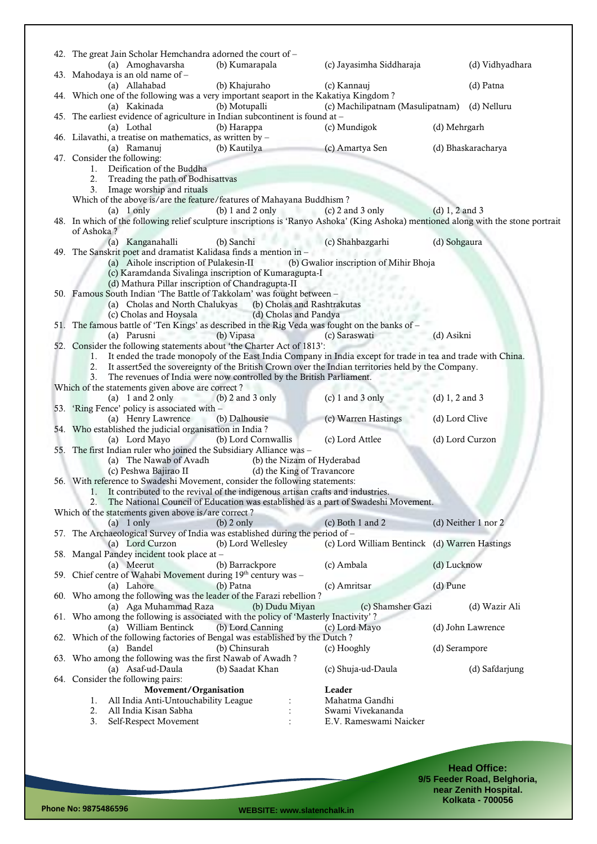| 42. The great Jain Scholar Hemchandra adorned the court of -                                                                                                                     |                                  |                                               |                     |
|----------------------------------------------------------------------------------------------------------------------------------------------------------------------------------|----------------------------------|-----------------------------------------------|---------------------|
| (a) Amoghavarsha                                                                                                                                                                 | (b) Kumarapala                   | (c) Jayasimha Siddharaja                      | (d) Vidhyadhara     |
| 43. Mahodaya is an old name of -                                                                                                                                                 |                                  |                                               |                     |
| (a) Allahabad<br>44. Which one of the following was a very important seaport in the Kakatiya Kingdom?                                                                            | (b) Khajuraho                    | (c) Kannauj                                   | (d) Patna           |
| (a) Kakinada                                                                                                                                                                     | (b) Motupalli                    | (c) Machilipatnam (Masulipatnam) (d) Nelluru  |                     |
| 45. The earliest evidence of agriculture in Indian subcontinent is found at -                                                                                                    |                                  |                                               |                     |
| (a) Lothal                                                                                                                                                                       | (b) Harappa                      | (c) Mundigok                                  | (d) Mehrgarh        |
| 46. Lilavathi, a treatise on mathematics, as written by -                                                                                                                        |                                  |                                               |                     |
| (a) Ramanuj                                                                                                                                                                      | (b) Kautilya                     | (c) Amartya Sen                               | (d) Bhaskaracharya  |
| 47. Consider the following:                                                                                                                                                      |                                  |                                               |                     |
| 1. Deification of the Buddha                                                                                                                                                     |                                  |                                               |                     |
| 2.<br>Treading the path of Bodhisattvas<br>Image worship and rituals<br>3.                                                                                                       |                                  |                                               |                     |
| Which of the above is/are the feature/features of Mahayana Buddhism?                                                                                                             |                                  |                                               |                     |
| $(a)$ 1 only                                                                                                                                                                     | $(b) 1$ and 2 only               | $(c)$ 2 and 3 only                            | $(d) 1, 2$ and 3    |
| 48. In which of the following relief sculpture inscriptions is 'Ranyo Ashoka' (King Ashoka) mentioned along with the stone portrait                                              |                                  |                                               |                     |
| of Ashoka?                                                                                                                                                                       |                                  |                                               |                     |
| (a) Kanganahalli                                                                                                                                                                 | (b) Sanchi                       | (c) Shahbazgarhi                              | (d) Sohgaura        |
| 49. The Sanskrit poet and dramatist Kalidasa finds a mention in -                                                                                                                |                                  |                                               |                     |
| (a) Aihole inscription of Pulakesin-II (b) Gwalior inscription of Mihir Bhoja                                                                                                    |                                  |                                               |                     |
| (c) Karamdanda Sivalinga inscription of Kumaragupta-I<br>(d) Mathura Pillar inscription of Chandragupta-II                                                                       |                                  |                                               |                     |
| 50. Famous South Indian 'The Battle of Takkolam' was fought between -                                                                                                            |                                  |                                               |                     |
| (a) Cholas and North Chalukyas                                                                                                                                                   | (b) Cholas and Rashtrakutas      |                                               |                     |
| (c) Cholas and Hoysala                                                                                                                                                           | (d) Cholas and Pandya<br>1543547 |                                               |                     |
| 51. The famous battle of 'Ten Kings' as described in the Rig Veda was fought on the banks of -                                                                                   |                                  |                                               |                     |
| (a) Parusni<br><b>Contract Contract</b>                                                                                                                                          | (b) Vipasa                       | (c) Saraswati                                 | (d) Asikni          |
| 52. Consider the following statements about 'the Charter Act of 1813':                                                                                                           |                                  |                                               |                     |
| It ended the trade monopoly of the East India Company in India except for trade in tea and trade with China.<br>1.<br>2.                                                         |                                  |                                               |                     |
| It assert5ed the sovereignty of the British Crown over the Indian territories held by the Company.<br>The revenues of India were now controlled by the British Parliament.<br>3. |                                  |                                               |                     |
| Which of the statements given above are correct?                                                                                                                                 |                                  |                                               |                     |
| (a) $1$ and $2$ only                                                                                                                                                             | $(b)$ 2 and 3 only               | $(c)$ 1 and 3 only                            | (d) $1, 2$ and $3$  |
| 53. 'Ring Fence' policy is associated with -                                                                                                                                     |                                  |                                               |                     |
| (a) Henry Lawrence                                                                                                                                                               | (b) Dalhousie                    | (c) Warren Hastings                           | (d) Lord Clive      |
| 54. Who established the judicial organisation in India?                                                                                                                          |                                  |                                               |                     |
| (a) Lord Mayo                                                                                                                                                                    | (b) Lord Cornwallis              | (c) Lord Attlee                               | (d) Lord Curzon     |
| 55. The first Indian ruler who joined the Subsidiary Alliance was -<br>(a) The Nawab of Avadh                                                                                    | (b) the Nizam of Hyderabad       |                                               |                     |
| (c) Peshwa Bajirao II                                                                                                                                                            | (d) the King of Travancore       |                                               |                     |
| 56. With reference to Swadeshi Movement, consider the following statements:                                                                                                      |                                  |                                               |                     |
| 1. It contributed to the revival of the indigenous artisan crafts and industries.                                                                                                |                                  |                                               |                     |
| The National Council of Education was established as a part of Swadeshi Movement.                                                                                                |                                  |                                               |                     |
| Which of the statements given above is/are correct?                                                                                                                              |                                  |                                               |                     |
| $(a)$ 1 only                                                                                                                                                                     | $(b)$ 2 only                     | (c) Both 1 and 2                              | (d) Neither 1 nor 2 |
| 57. The Archaeological Survey of India was established during the period of -<br>(a) Lord Curzon                                                                                 | (b) Lord Wellesley               | (c) Lord William Bentinck (d) Warren Hastings |                     |
| 58. Mangal Pandey incident took place at -                                                                                                                                       |                                  |                                               |                     |
| (a) Meerut                                                                                                                                                                       | (b) Barrackpore                  | (c) Ambala                                    | (d) Lucknow         |
| 59. Chief centre of Wahabi Movement during 19th century was -                                                                                                                    |                                  |                                               |                     |
| (a) Lahore                                                                                                                                                                       | (b) Patna                        | (c) Amritsar                                  | (d) Pune            |
| 60. Who among the following was the leader of the Farazi rebellion?                                                                                                              |                                  |                                               |                     |
| (a) Aga Muhammad Raza                                                                                                                                                            | (b) Dudu Miyan                   | (c) Shamsher Gazi                             | (d) Wazir Ali       |
| 61. Who among the following is associated with the policy of 'Masterly Inactivity'?                                                                                              |                                  |                                               |                     |
| (a) William Bentinck<br>62. Which of the following factories of Bengal was established by the Dutch?                                                                             | (b) Lord Canning                 | (c) Lord Mayo                                 | (d) John Lawrence   |
| (a) Bandel                                                                                                                                                                       | (b) Chinsurah                    | (c) Hooghly                                   | (d) Serampore       |
| 63. Who among the following was the first Nawab of Awadh?                                                                                                                        |                                  |                                               |                     |
| (a) Asaf-ud-Daula                                                                                                                                                                | (b) Saadat Khan                  | (c) Shuja-ud-Daula                            | (d) Safdarjung      |
| 64. Consider the following pairs:                                                                                                                                                |                                  |                                               |                     |
| Movement/Organisation                                                                                                                                                            |                                  | Leader                                        |                     |
| All India Anti-Untouchability League<br>1.                                                                                                                                       |                                  | Mahatma Gandhi                                |                     |
| All India Kisan Sabha<br>2.                                                                                                                                                      |                                  | Swami Vivekananda                             |                     |
| 3.<br>Self-Respect Movement                                                                                                                                                      |                                  | E.V. Rameswami Naicker                        |                     |
|                                                                                                                                                                                  |                                  |                                               |                     |

**Head Office: 9/5 Feeder Road, Belghoria, near Zenith Hospital. Kolkata - 700056**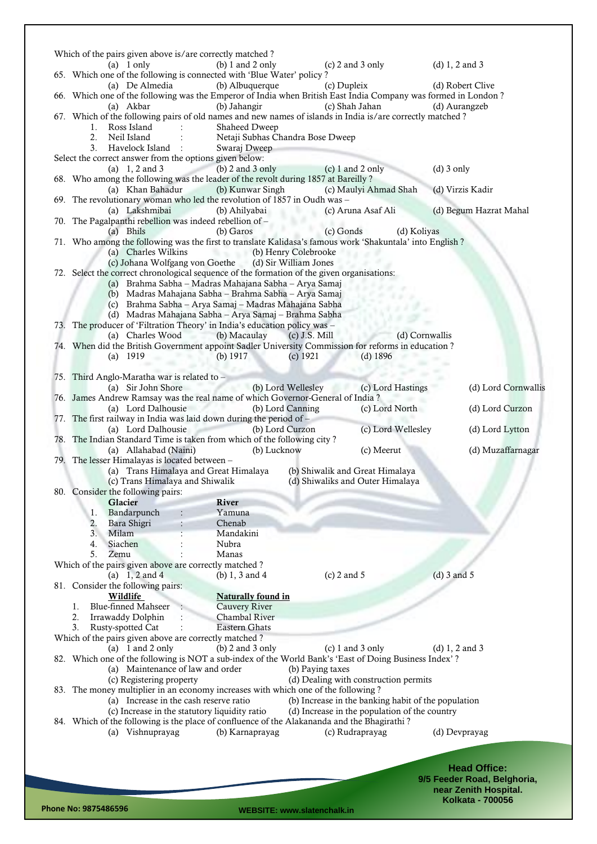|                                                                                                                              | Which of the pairs given above is/are correctly matched?                                                       |                                                     |                                                    |
|------------------------------------------------------------------------------------------------------------------------------|----------------------------------------------------------------------------------------------------------------|-----------------------------------------------------|----------------------------------------------------|
| $(a)$ 1 only<br>65. Which one of the following is connected with 'Blue Water' policy?                                        | (b) $1$ and $2$ only                                                                                           | (c) $2$ and $3$ only                                | (d) $1, 2$ and $3$                                 |
| (a) De Almedia                                                                                                               | (b) Albuquerque<br>(c) Dupleix                                                                                 |                                                     | (d) Robert Clive                                   |
| 66. Which one of the following was the Emperor of India when British East India Company was formed in London?<br>(a) Akbar   | (b) Jahangir                                                                                                   | (c) Shah Jahan                                      | (d) Aurangzeb                                      |
| 67. Which of the following pairs of old names and new names of islands in India is/are correctly matched?                    |                                                                                                                |                                                     |                                                    |
| Ross Island<br>1.<br>Neil Island<br>2.                                                                                       | Shaheed Dweep<br>Netaji Subhas Chandra Bose Dweep                                                              |                                                     |                                                    |
| 3.<br>Havelock Island                                                                                                        | Swaraj Dweep                                                                                                   |                                                     |                                                    |
| Select the correct answer from the options given below:<br>(a) $1, 2$ and 3                                                  | $(b)$ 2 and 3 only                                                                                             | $(c) 1$ and 2 only                                  | $(d)$ 3 only                                       |
| 68. Who among the following was the leader of the revolt during 1857 at Bareilly?                                            |                                                                                                                |                                                     |                                                    |
| (a) Khan Bahadur<br>69. The revolutionary woman who led the revolution of 1857 in Oudh was -                                 | (b) Kunwar Singh                                                                                               | (c) Maulyi Ahmad Shah                               | (d) Virzis Kadir                                   |
| (a) Lakshmibai                                                                                                               | (b) Ahilyabai                                                                                                  | (c) Aruna Asaf Ali                                  | (d) Begum Hazrat Mahal                             |
| 70. The Pagalpanthi rebellion was indeed rebellion of -                                                                      |                                                                                                                |                                                     |                                                    |
| (a) Bhils<br>71. Who among the following was the first to translate Kalidasa's famous work 'Shakuntala' into English ?       | (b) Garos<br>(c) Gonds                                                                                         | (d) Koliyas                                         |                                                    |
| (a) Charles Wilkins<br><b>CONTRACTOR</b>                                                                                     | (b) Henry Colebrooke                                                                                           |                                                     |                                                    |
| (c) Johana Wolfgang von Goethe<br>72. Select the correct chronological sequence of the formation of the given organisations: | (d) Sir William Jones                                                                                          |                                                     |                                                    |
| (a) Brahma Sabha - Madras Mahajana Sabha - Arya Samaj                                                                        |                                                                                                                |                                                     |                                                    |
|                                                                                                                              | (b) Madras Mahajana Sabha - Brahma Sabha - Arya Samaj                                                          |                                                     |                                                    |
|                                                                                                                              | (c) Brahma Sabha - Arya Samaj - Madras Mahajana Sabha<br>(d) Madras Mahajana Sabha - Arya Samaj - Brahma Sabha |                                                     |                                                    |
| 73. The producer of 'Filtration Theory' in India's education policy was -                                                    |                                                                                                                |                                                     |                                                    |
| (a) Charles Wood<br>74. When did the British Government appoint Sadler University Commission for reforms in education ?      | (b) Macaulay<br>$(c)$ J.S. Mill                                                                                | (d) Cornwallis                                      |                                                    |
| $(a)$ 1919                                                                                                                   | (b) $1917$<br>(c) $1921$                                                                                       | $(d)$ 1896                                          |                                                    |
| 75. Third Anglo-Maratha war is related to -                                                                                  |                                                                                                                |                                                     |                                                    |
| (a) Sir John Shore                                                                                                           | (b) Lord Wellesley (c) Lord Hastings                                                                           |                                                     | (d) Lord Cornwallis                                |
| 76. James Andrew Ramsay was the real name of which Governor-General of India?<br>(a) Lord Dalhousie                          | (b) Lord Canning                                                                                               | (c) Lord North                                      | (d) Lord Curzon                                    |
| 77. The first railway in India was laid down during the period of -                                                          |                                                                                                                |                                                     |                                                    |
| (a) Lord Dalhousie<br>78. The Indian Standard Time is taken from which of the following city?                                | (b) Lord Curzon                                                                                                | (c) Lord Wellesley                                  | (d) Lord Lytton                                    |
| (a) Allahabad (Naini)                                                                                                        | (b) Lucknow                                                                                                    | (c) Meerut                                          | (d) Muzaffarnagar                                  |
| 79. The lesser Himalayas is located between -                                                                                |                                                                                                                | (b) Shiwalik and Great Himalaya                     |                                                    |
| (a) Trans Himalaya and Great Himalaya<br>(c) Trans Himalaya and Shiwalik                                                     |                                                                                                                | (d) Shiwaliks and Outer Himalaya                    |                                                    |
| 80. Consider the following pairs:                                                                                            |                                                                                                                |                                                     |                                                    |
|                                                                                                                              |                                                                                                                |                                                     |                                                    |
| Glacier                                                                                                                      | River                                                                                                          |                                                     |                                                    |
| Bandarpunch<br>1.<br>2.<br>Bara Shigri                                                                                       | Yamuna<br>Chenab                                                                                               |                                                     |                                                    |
| 3.<br>Milam                                                                                                                  | Mandakini                                                                                                      |                                                     |                                                    |
| Siachen<br>4.                                                                                                                | Nubra                                                                                                          |                                                     |                                                    |
| 5.<br>Zemu                                                                                                                   | Manas                                                                                                          |                                                     |                                                    |
| Which of the pairs given above are correctly matched?                                                                        |                                                                                                                |                                                     |                                                    |
| (a) $1, 2$ and 4                                                                                                             | (b) $1, 3$ and $4$<br>$(c)$ 2 and 5                                                                            |                                                     | $(d)$ 3 and 5                                      |
| 81. Consider the following pairs:<br>Wildlife                                                                                | <b>Naturally found in</b>                                                                                      |                                                     |                                                    |
| <b>Blue-finned Mahseer</b><br>1.                                                                                             | Cauvery River                                                                                                  |                                                     |                                                    |
| 2.<br>Irrawaddy Dolphin                                                                                                      | Chambal River                                                                                                  |                                                     |                                                    |
| 3 <sub>1</sub><br>Rusty-spotted Cat                                                                                          | <b>Eastern Ghats</b>                                                                                           |                                                     |                                                    |
| Which of the pairs given above are correctly matched?                                                                        |                                                                                                                |                                                     |                                                    |
| (a) $1$ and $2$ only                                                                                                         | (b) $2$ and $3$ only                                                                                           | $(c)$ 1 and 3 only                                  | (d) $1, 2$ and $3$                                 |
| 82. Which one of the following is NOT a sub-index of the World Bank's 'East of Doing Business Index'?                        |                                                                                                                |                                                     |                                                    |
| (a) Maintenance of law and order                                                                                             | (b) Paying taxes                                                                                               |                                                     |                                                    |
| (c) Registering property<br>83. The money multiplier in an economy increases with which one of the following?                |                                                                                                                | (d) Dealing with construction permits               |                                                    |
| (a) Increase in the cash reserve ratio                                                                                       |                                                                                                                | (b) Increase in the banking habit of the population |                                                    |
| (c) Increase in the statutory liquidity ratio                                                                                |                                                                                                                | (d) Increase in the population of the country       |                                                    |
| 84. Which of the following is the place of confluence of the Alakananda and the Bhagirathi?                                  |                                                                                                                |                                                     |                                                    |
| (a) Vishnuprayag                                                                                                             | (b) Karnaprayag                                                                                                | (c) Rudraprayag                                     | (d) Devprayag                                      |
|                                                                                                                              |                                                                                                                |                                                     |                                                    |
|                                                                                                                              |                                                                                                                |                                                     |                                                    |
|                                                                                                                              |                                                                                                                |                                                     | <b>Head Office:</b><br>9/5 Feeder Road, Belghoria, |

**Phone No: 9875486596 WEBSITE: www.slatenchalk.in**

**Kolkata - 700056**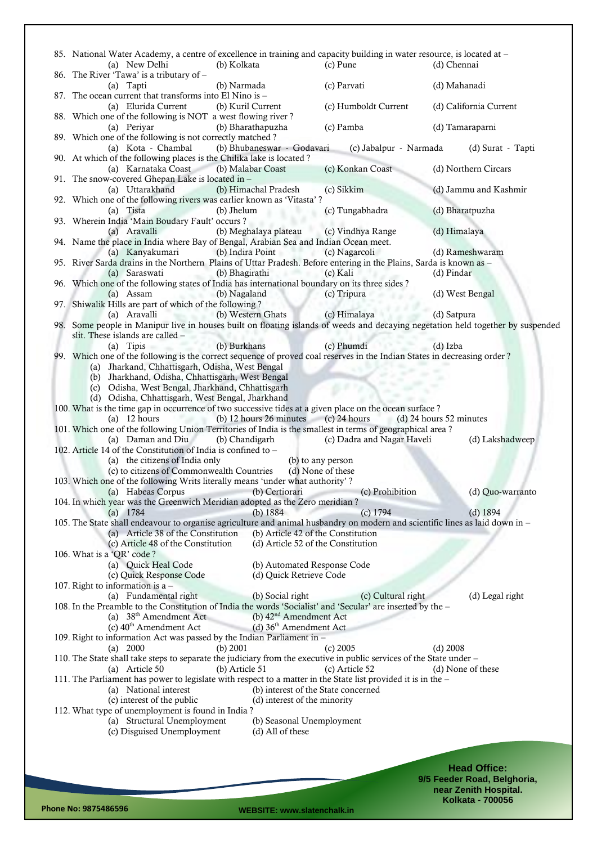| 85. National Water Academy, a centre of excellence in training and capacity building in water resource, is located at -<br>(a) New Delhi<br>(b) Kolkata |                                     | (c) Pune          |                            | (d) Chennai     |                             |
|---------------------------------------------------------------------------------------------------------------------------------------------------------|-------------------------------------|-------------------|----------------------------|-----------------|-----------------------------|
| 86. The River 'Tawa' is a tributary of -<br>(b) Narmada<br>(a) Tapti                                                                                    |                                     | (c) Parvati       |                            | (d) Mahanadi    |                             |
| 87. The ocean current that transforms into El Nino is -<br>(a) Elurida Current<br>(b) Kuril Current                                                     |                                     |                   | (c) Humboldt Current       |                 | (d) California Current      |
| 88. Which one of the following is NOT a west flowing river?                                                                                             |                                     |                   |                            |                 |                             |
| (b) Bharathapuzha<br>(a) Periyar<br>89. Which one of the following is not correctly matched?                                                            |                                     | (c) Pamba         |                            | (d) Tamaraparni |                             |
| (a) Kota - Chambal<br>90. At which of the following places is the Chilika lake is located?                                                              | (b) Bhubaneswar - Godavari          |                   | (c) Jabalpur - Narmada     |                 | (d) Surat - Tapti           |
| (a) Karnataka Coast<br>(b) Malabar Coast<br>91. The snow-covered Ghepan Lake is located in -                                                            |                                     | (c) Konkan Coast  |                            |                 | (d) Northern Circars        |
| (a) Uttarakhand<br>92. Which one of the following rivers was earlier known as 'Vitasta'?                                                                | (b) Himachal Pradesh                | (c) Sikkim        |                            |                 | (d) Jammu and Kashmir       |
| (b) Jhelum<br>(a) Tista<br>93. Wherein India 'Main Boudary Fault' occurs?                                                                               |                                     | (c) Tungabhadra   |                            | (d) Bharatpuzha |                             |
| (a) Aravalli<br>94. Name the place in India where Bay of Bengal, Arabian Sea and Indian Ocean meet.                                                     | (b) Meghalaya plateau               | (c) Vindhya Range |                            | (d) Himalaya    |                             |
| (a) Kanyakumari<br>(b) Indira Point                                                                                                                     |                                     | (c) Nagarcoli     |                            |                 | (d) Rameshwaram             |
| 95. River Sarda drains in the Northern Plains of Uttar Pradesh. Before entering in the Plains, Sarda is known as -                                      |                                     |                   |                            |                 |                             |
| (b) Bhagirathi<br>(a) Saraswati<br>96. Which one of the following states of India has international boundary on its three sides ?                       | 1.07 < x                            | (c) Kali          |                            | (d) Pindar      |                             |
| (b) Nagaland<br>(a) Assam                                                                                                                               |                                     | (c) Tripura       |                            | (d) West Bengal |                             |
| 97. Shiwalik Hills are part of which of the following?                                                                                                  |                                     |                   |                            |                 |                             |
| (b) Western Ghats<br>(a) Aravalli                                                                                                                       |                                     | (c) Himalaya      |                            | (d) Satpura     |                             |
| 98. Some people in Manipur live in houses built on floating islands of weeds and decaying negetation held together by suspended                         |                                     |                   |                            |                 |                             |
| slit. These islands are called -                                                                                                                        |                                     |                   |                            |                 |                             |
| (b) Burkhans<br>(a) Tipis                                                                                                                               |                                     | (c) Phumdi        |                            | (d) Izba        |                             |
| 99. Which one of the following is the correct sequence of proved coal reserves in the Indian States in decreasing order?                                |                                     |                   |                            |                 |                             |
| (a) Jharkand, Chhattisgarh, Odisha, West Bengal                                                                                                         |                                     |                   |                            |                 |                             |
| (b) Jharkhand, Odisha, Chhattisgarh, West Bengal                                                                                                        |                                     |                   |                            |                 |                             |
| (c) Odisha, West Bengal, Jharkhand, Chhattisgarh<br>(d) Odisha, Chhattisgarh, West Bengal, Jharkhand                                                    |                                     |                   |                            |                 |                             |
| 100. What is the time gap in occurrence of two successive tides at a given place on the ocean surface?                                                  |                                     |                   |                            |                 |                             |
| $(a)$ 12 hours                                                                                                                                          | (b) $12$ hours $26$ minutes         | $(c)$ 24 hours    | (d) 24 hours 52 minutes    |                 |                             |
| 101. Which one of the following Union Territories of India is the smallest in terms of geographical area?                                               |                                     |                   |                            |                 |                             |
| (b) Chandigarh<br>(a) Daman and Diu                                                                                                                     |                                     |                   | (c) Dadra and Nagar Haveli |                 | (d) Lakshadweep             |
| 102. Article 14 of the Constitution of India is confined to -                                                                                           |                                     |                   |                            |                 |                             |
| (a) the citizens of India only                                                                                                                          | (b) to any person                   |                   |                            |                 |                             |
| (c) to citizens of Commonwealth Countries                                                                                                               | (d) None of these                   |                   |                            |                 |                             |
| 103. Which one of the following Writs literally means 'under what authority'?                                                                           |                                     |                   |                            |                 |                             |
| (a) Habeas Corpus<br>----                                                                                                                               | (b) Certiorari                      |                   | (c) Prohibition            |                 | (d) Quo-warranto            |
| 104. In which year was the Greenwich Meridian adopted as the Zero meridian?<br>(a) $1784$                                                               | (b) $1884$                          |                   | $(c)$ 1794                 |                 | $(d)$ 1894                  |
| 105. The State shall endeavour to organise agriculture and animal husbandry on modern and scientific lines as laid down in -                            |                                     |                   |                            |                 |                             |
| (a) Article 38 of the Constitution                                                                                                                      | (b) Article 42 of the Constitution  |                   |                            |                 |                             |
| (c) Article 48 of the Constitution                                                                                                                      | (d) Article 52 of the Constitution  |                   |                            |                 |                             |
| 106. What is a 'QR' code?                                                                                                                               |                                     |                   |                            |                 |                             |
| (a) Quick Heal Code                                                                                                                                     | (b) Automated Response Code         |                   |                            |                 |                             |
| (c) Quick Response Code                                                                                                                                 | (d) Quick Retrieve Code             |                   |                            |                 |                             |
| 107. Right to information is a $-$                                                                                                                      |                                     |                   |                            |                 |                             |
| (a) Fundamental right<br>108. In the Preamble to the Constitution of India the words 'Socialist' and 'Secular' are inserted by the -                    | (b) Social right                    |                   | (c) Cultural right         |                 | (d) Legal right             |
| (a) $38th$ Amendment Act                                                                                                                                | (b) $42nd$ Amendment Act            |                   |                            |                 |                             |
| (c) 40 <sup>th</sup> Amendment Act                                                                                                                      | (d) $36th$ Amendment Act            |                   |                            |                 |                             |
| 109. Right to information Act was passed by the Indian Parliament in -                                                                                  |                                     |                   |                            |                 |                             |
| (b) $2001$<br>(a) $2000$                                                                                                                                |                                     | $(c)$ 2005        |                            | $(d)$ 2008      |                             |
| 110. The State shall take steps to separate the judiciary from the executive in public services of the State under -                                    |                                     |                   |                            |                 |                             |
| (b) Article 51<br>(a) Article 50                                                                                                                        |                                     | (c) Article 52    |                            |                 | (d) None of these           |
| 111. The Parliament has power to legislate with respect to a matter in the State list provided it is in the -                                           |                                     |                   |                            |                 |                             |
| (a) National interest                                                                                                                                   | (b) interest of the State concerned |                   |                            |                 |                             |
| (c) interest of the public<br>112. What type of unemployment is found in India?                                                                         | (d) interest of the minority        |                   |                            |                 |                             |
| (a) Structural Unemployment                                                                                                                             | (b) Seasonal Unemployment           |                   |                            |                 |                             |
| (c) Disguised Unemployment                                                                                                                              | (d) All of these                    |                   |                            |                 |                             |
|                                                                                                                                                         |                                     |                   |                            |                 |                             |
|                                                                                                                                                         |                                     |                   |                            |                 |                             |
|                                                                                                                                                         |                                     |                   |                            |                 | <b>Head Office:</b>         |
|                                                                                                                                                         |                                     |                   |                            |                 | 9/5 Feeder Road, Belghoria, |
|                                                                                                                                                         |                                     |                   |                            |                 | near Zenith Hospital.       |

**Phone No: 9875486596 WEBSITE: www.slatenchalk.in**

**Kolkata - 700056**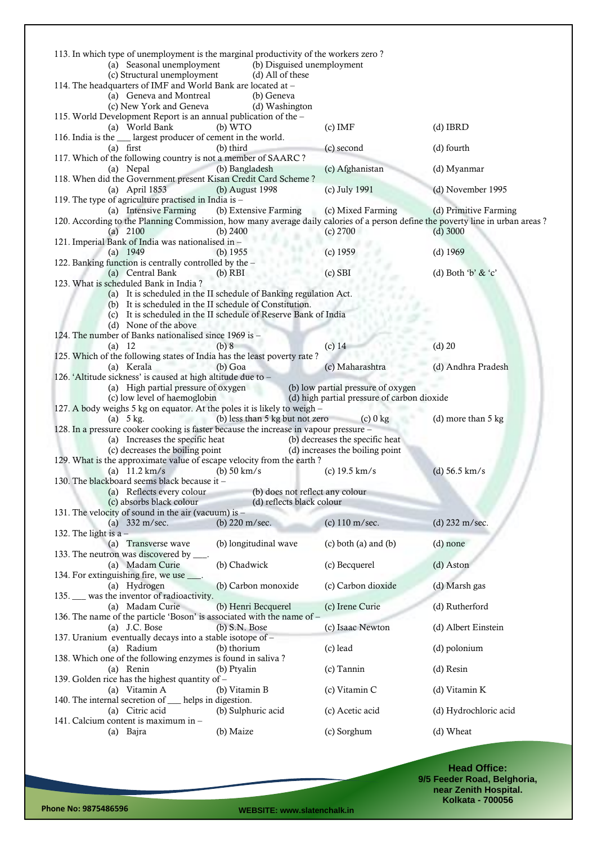| 113. In which type of unemployment is the marginal productivity of the workers zero?<br>(a) Seasonal unemployment<br>(b) Disguised unemployment             |                                             |                              |
|-------------------------------------------------------------------------------------------------------------------------------------------------------------|---------------------------------------------|------------------------------|
| (c) Structural unemployment<br>(d) All of these<br>114. The headquarters of IMF and World Bank are located at -                                             |                                             |                              |
| (a) Geneva and Montreal<br>(b) Geneva<br>(c) New York and Geneva<br>(d) Washington                                                                          |                                             |                              |
| 115. World Development Report is an annual publication of the -<br>(a) World Bank<br>(b) WTO                                                                | $(c)$ IMF                                   | $(d)$ IBRD                   |
| 116. India is the ___ largest producer of cement in the world.<br>(b) third<br>$(a)$ first<br>117. Which of the following country is not a member of SAARC? | (c) second                                  | (d) fourth                   |
| (b) Bangladesh<br>(a) Nepal                                                                                                                                 | (c) Afghanistan                             | (d) Myanmar                  |
| 118. When did the Government present Kisan Credit Card Scheme?<br>(a) April 1853<br>(b) August 1998<br>119. The type of agriculture practised in India is - | (c) July 1991                               | (d) November 1995            |
| (a) Intensive Farming<br>(b) Extensive Farming                                                                                                              | (c) Mixed Farming                           | (d) Primitive Farming        |
| 120. According to the Planning Commission, how many average daily calories of a person define the poverty line in urban areas?<br>(a) $2100$<br>(b) $2400$  | $(c)$ 2700                                  | $(d)$ 3000                   |
| 121. Imperial Bank of India was nationalised in -<br>(a) $1949$<br>(b) $1955$                                                                               | $(c)$ 1959                                  | $(d)$ 1969                   |
| 122. Banking function is centrally controlled by the -                                                                                                      |                                             |                              |
| (a) Central Bank<br>$(b)$ RBI<br>123. What is scheduled Bank in India?                                                                                      | $(c)$ SBI                                   | (d) Both 'b' & 'c'           |
| (a) It is scheduled in the II schedule of Banking regulation Act.                                                                                           |                                             |                              |
| (b) It is scheduled in the II schedule of Constitution.                                                                                                     |                                             |                              |
| (c) It is scheduled in the II schedule of Reserve Bank of India<br>(d) None of the above                                                                    |                                             |                              |
| 124. The number of Banks nationalised since 1969 is -                                                                                                       |                                             |                              |
| (b) 8<br>(a) 12                                                                                                                                             | $(c)$ 14                                    | $(d)$ 20                     |
| 125. Which of the following states of India has the least poverty rate?<br>(a) Kerala<br>$(b)$ Goa                                                          | (c) Maharashtra                             | (d) Andhra Pradesh           |
| 126. 'Altitude sickness' is caused at high altitude due to -<br>(a) High partial pressure of oxygen                                                         | (b) low partial pressure of oxygen          |                              |
| (c) low level of haemoglobin                                                                                                                                | (d) high partial pressure of carbon dioxide |                              |
| 127. A body weighs 5 kg on equator. At the poles it is likely to weigh -<br>(b) less than 5 kg but not zero<br>(a) $5 \text{ kg}$ .                         | $(c)$ 0 kg                                  | (d) more than $5 \text{ kg}$ |
| 128. In a pressure cooker cooking is faster because the increase in vapour pressure -<br>(a) Increases the specific heat                                    | (b) decreases the specific heat             |                              |
| (c) decreases the boiling point                                                                                                                             | (d) increases the boiling point             |                              |
| 129. What is the approximate value of escape velocity from the earth?                                                                                       |                                             |                              |
| (a) $11.2 \text{ km/s}$<br>(b) $50 \text{ km/s}$<br>130. The blackboard seems black because it -                                                            | (c) $19.5 \text{ km/s}$                     | (d) $56.5 \text{ km/s}$      |
| (a) Reflects every colour<br>(b) does not reflect any colour                                                                                                |                                             |                              |
| (c) absorbs black colour<br>(d) reflects black colour                                                                                                       |                                             |                              |
| 131. The velocity of sound in the air (vacuum) is $-$<br>(b) $220 \text{ m/sec.}$<br>(a) $332 \text{ m/sec.}$                                               | (c) 110 m/sec.                              | (d) 232 m/sec.               |
| 132. The light is a $-$                                                                                                                                     |                                             |                              |
| (b) longitudinal wave<br>(a) Transverse wave<br>133. The neutron was discovered by ____.                                                                    | $(c)$ both $(a)$ and $(b)$                  | $(d)$ none                   |
| (b) Chadwick<br>(a) Madam Curie<br>134. For extinguishing fire, we use ____.                                                                                | (c) Becquerel                               | (d) Aston                    |
| (b) Carbon monoxide<br>(a) Hydrogen<br>135. was the inventor of radioactivity.                                                                              | (c) Carbon dioxide                          | (d) Marsh gas                |
| (a) Madam Curie<br>(b) Henri Becquerel                                                                                                                      | (c) Irene Curie                             | (d) Rutherford               |
| 136. The name of the particle 'Boson' is associated with the name of -<br>(a) $J.C. Bose$<br>$(b)$ S.N. Bose                                                | (c) Isaac Newton                            | (d) Albert Einstein          |
| 137. Uranium eventually decays into a stable isotope of -<br>(a) Radium<br>(b) thorium                                                                      |                                             |                              |
| 138. Which one of the following enzymes is found in saliva?                                                                                                 |                                             |                              |
| (a) Renin<br>(b) Ptyalin                                                                                                                                    | (c) lead                                    | (d) polonium                 |
|                                                                                                                                                             | $(c)$ Tannin                                | $(d)$ Resin                  |
| 139. Golden rice has the highest quantity of -                                                                                                              |                                             |                              |
| (a) Vitamin A<br>(b) Vitamin B<br>140. The internal secretion of __ helps in digestion.                                                                     | (c) Vitamin C                               | (d) Vitamin K                |
| (a) Citric acid<br>(b) Sulphuric acid                                                                                                                       | (c) Acetic acid                             | (d) Hydrochloric acid        |
| 141. Calcium content is maximum in -<br>(b) Maize<br>(a) Bajra                                                                                              | (c) Sorghum                                 | (d) Wheat                    |

**Head Office: 9/5 Feeder Road, Belghoria, near Zenith Hospital. Kolkata - 700056**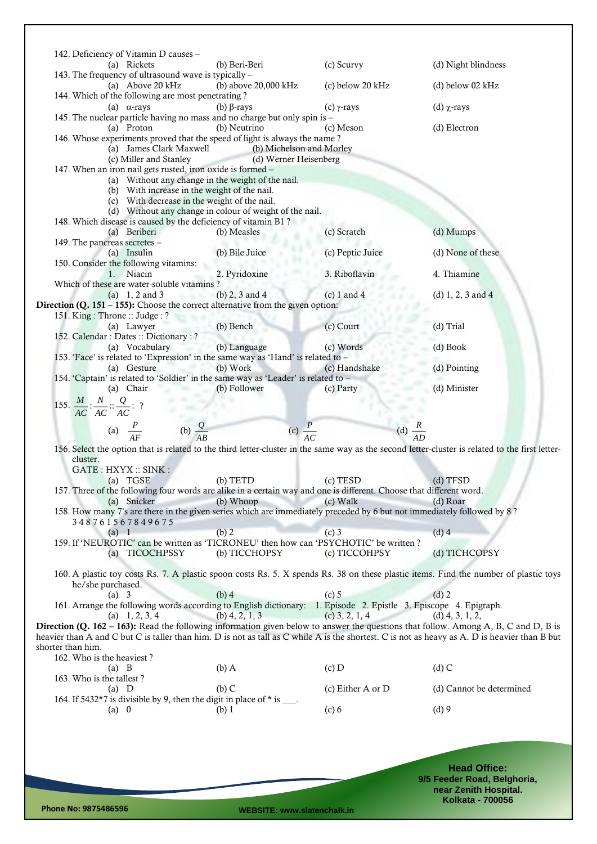|                   | 142. Deficiency of Vitamin D causes –                                 |                                                                                                                                  |                          |                                                                                                                                                 |
|-------------------|-----------------------------------------------------------------------|----------------------------------------------------------------------------------------------------------------------------------|--------------------------|-------------------------------------------------------------------------------------------------------------------------------------------------|
|                   | (a) Rickets<br>143. The frequency of ultrasound wave is typically -   | (b) Beri-Beri                                                                                                                    | (c) Scurvy               | (d) Night blindness                                                                                                                             |
|                   | (a) Above 20 kHz<br>144. Which of the following are most penetrating? | (b) above 20,000 kHz                                                                                                             | (c) below 20 kHz         | $(d)$ below 02 kHz                                                                                                                              |
|                   | (a) $\alpha$ -rays                                                    | (b) $\beta$ -rays                                                                                                                | (c) $\gamma$ -rays       | (d) $\chi$ -rays                                                                                                                                |
|                   | (a) Proton                                                            | 145. The nuclear particle having no mass and no charge but only spin is -<br>(b) Neutrino                                        | (c) Meson                | (d) Electron                                                                                                                                    |
|                   |                                                                       | 146. Whose experiments proved that the speed of light is always the name?                                                        |                          |                                                                                                                                                 |
|                   | (a) James Clark Maxwell<br>(c) Miller and Stanley                     | <b>ACCEPT</b><br>(d) Werner Heisenberg                                                                                           | (b) Michelson and Morley |                                                                                                                                                 |
|                   | 147. When an iron nail gets rusted, iron oxide is formed -            |                                                                                                                                  |                          |                                                                                                                                                 |
|                   |                                                                       | (a) Without any change in the weight of the nail.                                                                                |                          |                                                                                                                                                 |
|                   |                                                                       | (b) With increase in the weight of the nail.<br>(c) With decrease in the weight of the nail.                                     |                          |                                                                                                                                                 |
|                   |                                                                       | (d) Without any change in colour of weight of the nail.                                                                          |                          |                                                                                                                                                 |
|                   | (a) Beriberi                                                          | 148. Which disease is caused by the deficiency of vitamin B1?<br>(b) Measles                                                     | (c) Scratch              | (d) Mumps                                                                                                                                       |
|                   | 149. The pancreas secretes -                                          |                                                                                                                                  |                          |                                                                                                                                                 |
|                   | (a) Insulin                                                           | (b) Bile Juice                                                                                                                   | (c) Peptic Juice         | (d) None of these                                                                                                                               |
|                   | 150. Consider the following vitamins:<br>1. Niacin                    | 2. Pyridoxine                                                                                                                    | 3. Riboflavin            | 4. Thiamine                                                                                                                                     |
|                   | Which of these are water-soluble vitamins?                            |                                                                                                                                  |                          |                                                                                                                                                 |
|                   | (a) $1, 2$ and $3$                                                    | (b) $2$ , $3$ and $4$<br>Direction (Q. $151 - 155$ ): Choose the correct alternative from the given option:                      | $(c) 1$ and 4            | (d) $1, 2, 3$ and $4$                                                                                                                           |
|                   | 151. King: Throne: Judge: ?                                           |                                                                                                                                  |                          |                                                                                                                                                 |
|                   | (a) Lawyer<br>152. Calendar: Dates: Dictionary: ?                     | (b) Bench                                                                                                                        | (c) Court                | (d) Trial                                                                                                                                       |
|                   | (a) Vocabulary                                                        | (b) Language                                                                                                                     | (c) Words                | (d) Book                                                                                                                                        |
|                   |                                                                       | 153. 'Face' is related to 'Expression' in the same way as 'Hand' is related to -                                                 |                          |                                                                                                                                                 |
|                   | (a) Gesture                                                           | (b) Work<br>154. 'Captain' is related to 'Soldier' in the same way as 'Leader' is related to -                                   | (c) Handshake            | (d) Pointing                                                                                                                                    |
|                   | (a) Chair                                                             | (b) Follower                                                                                                                     | (c) Party                | (d) Minister                                                                                                                                    |
|                   | 155. $\frac{M}{AC}$ : $\frac{N}{AC}$ : $\frac{Q}{AC}$ : ?             |                                                                                                                                  |                          |                                                                                                                                                 |
|                   |                                                                       |                                                                                                                                  |                          |                                                                                                                                                 |
|                   | (a) $\frac{P}{AF}$ (b) $\frac{Q}{AP}$                                 |                                                                                                                                  | (c) $\frac{P}{4C}$       | (d) $\frac{R}{4D}$                                                                                                                              |
|                   |                                                                       |                                                                                                                                  |                          | 156. Select the option that is related to the third letter-cluster in the same way as the second letter-cluster is related to the first letter- |
| cluster.          | GATE: HXYX: SINK:                                                     |                                                                                                                                  |                          |                                                                                                                                                 |
|                   | (a) TGSE                                                              | $(b)$ TETD                                                                                                                       | (c) TESD                 | $(d)$ TFSD                                                                                                                                      |
|                   | (a) Snicker                                                           | 157. Three of the following four words are alike in a certain way and one is different. Choose that different word.<br>(b) Whoop | $(c)$ Walk               | (d) Roar                                                                                                                                        |
|                   |                                                                       | 158. How many 7's are there in the given series which are immediately preceded by 6 but not immediately followed by 8?           |                          |                                                                                                                                                 |
|                   | 348761567849675                                                       |                                                                                                                                  |                          |                                                                                                                                                 |
|                   | $(a)$ 1                                                               | (b) 2<br>159. If 'NEUROTIC' can be written as 'TICRONEU' then how can 'PSYCHOTIC' be written?                                    | $(c)$ 3                  | $(d)$ 4                                                                                                                                         |
|                   | (a) TICOCHPSSY                                                        | (b) TICCHOPSY                                                                                                                    | (c) TICCOHPSY            | (d) TICHCOPSY                                                                                                                                   |
|                   |                                                                       |                                                                                                                                  |                          | 160. A plastic toy costs Rs. 7. A plastic spoon costs Rs. 5. X spends Rs. 38 on these plastic items. Find the number of plastic toys            |
|                   | he/she purchased.                                                     |                                                                                                                                  |                          |                                                                                                                                                 |
|                   | (a) 3                                                                 | $(b)$ 4<br>161. Arrange the following words according to English dictionary: 1. Episode 2. Epistle 3. Episcope 4. Epigraph.      | $(c)$ 5                  | $(d)$ 2                                                                                                                                         |
|                   |                                                                       |                                                                                                                                  |                          |                                                                                                                                                 |
|                   | (a) $1, 2, 3, 4$                                                      | $(b)$ 4, 2, 1, 3                                                                                                                 | $(c)$ 3, 2, 1, 4         | $(d)$ 4, 3, 1, 2,                                                                                                                               |
|                   |                                                                       |                                                                                                                                  |                          | <b>Direction (Q. 162 – 163):</b> Read the following information given below to answer the questions that follow. Among A, B, C and D, B is      |
| shorter than him. |                                                                       |                                                                                                                                  |                          | heavier than A and C but C is taller than him. D is not as tall as C while A is the shortest. C is not as heavy as A. D is heavier than B but   |
|                   | 162. Who is the heaviest?                                             |                                                                                                                                  |                          |                                                                                                                                                 |
|                   | $(a)$ B                                                               | $(b)$ A                                                                                                                          | $(c)$ D                  | $(d)$ C                                                                                                                                         |
|                   | 163. Who is the tallest?<br>$(a)$ D                                   | $(b)$ C                                                                                                                          | (c) Either A or $D$      | (d) Cannot be determined                                                                                                                        |
|                   |                                                                       | 164. If $5432*7$ is divisible by 9, then the digit in place of $*$ is ___.                                                       |                          |                                                                                                                                                 |
|                   | $(a)$ 0                                                               | (b) 1                                                                                                                            | (c) 6                    | $(d)$ 9                                                                                                                                         |
|                   |                                                                       |                                                                                                                                  |                          |                                                                                                                                                 |
|                   |                                                                       |                                                                                                                                  |                          |                                                                                                                                                 |
|                   |                                                                       |                                                                                                                                  |                          | <b>Head Office:</b>                                                                                                                             |

**9/5 Feeder Road, Belghoria, near Zenith Hospital. Kolkata - 700056**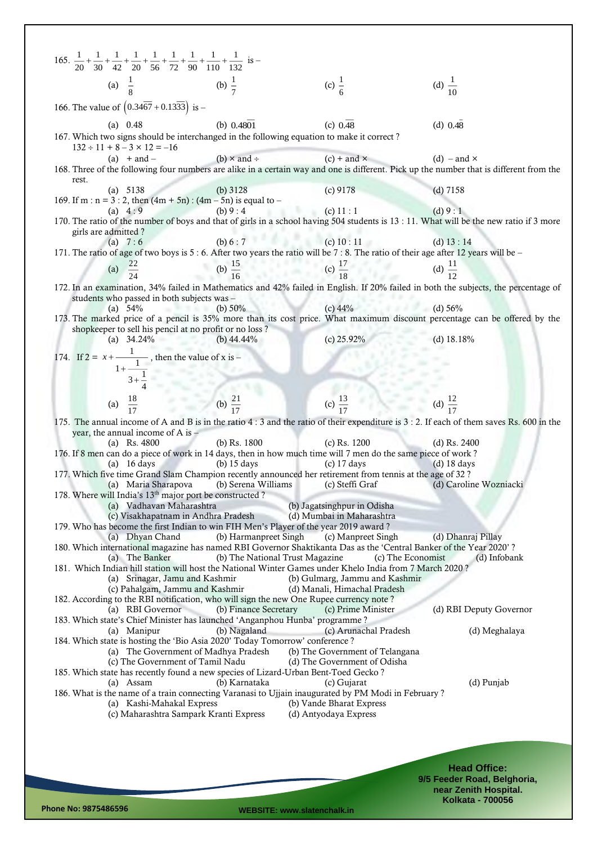| 165. $rac{1}{20} + \frac{1}{30} + \frac{1}{42} + \frac{1}{20} + \frac{1}{56} + \frac{1}{72} + \frac{1}{90} + \frac{1}{110} + \frac{1}{132}$ is -                                 |                                                             |                                                                 |                                                    |
|----------------------------------------------------------------------------------------------------------------------------------------------------------------------------------|-------------------------------------------------------------|-----------------------------------------------------------------|----------------------------------------------------|
| (a) $\frac{1}{8}$ (b) $\frac{1}{7}$                                                                                                                                              |                                                             | (c) $\frac{1}{6}$                                               | (d) $\frac{1}{10}$                                 |
| 166. The value of $(0.34\overline{67} + 0.13\overline{33})$ is -                                                                                                                 |                                                             |                                                                 |                                                    |
| (a) $0.48$                                                                                                                                                                       | (b) $0.4801$                                                | (c) 0.48                                                        | $(d)$ 0.48                                         |
| 167. Which two signs should be interchanged in the following equation to make it correct?<br>$132 \div 11 + 8 - 3 \times 12 = -16$                                               |                                                             |                                                                 |                                                    |
| $(a) + and -$<br>168. Three of the following four numbers are alike in a certain way and one is different. Pick up the number that is different from the                         | (b) $\times$ and $\div$                                     | $(c)$ + and $\times$                                            | (d) – and $\times$                                 |
| rest.<br>(a) $5138$                                                                                                                                                              | (b) $3128$                                                  | $(c)$ 9178                                                      | $(d)$ 7158                                         |
| 169. If m : $n = 3 : 2$ , then $(4m + 5n) : (4m - 5n)$ is equal to -<br>(a) $4:9$                                                                                                | (c) 11:1<br>(b) $9:4$                                       |                                                                 | (d) 9:1                                            |
| 170. The ratio of the number of boys and that of girls in a school having 504 students is 13 : 11. What will be the new ratio if 3 more                                          |                                                             |                                                                 |                                                    |
| girls are admitted?<br>(a) $7:6$                                                                                                                                                 | (b) $6:7$ (c) $10:11$                                       |                                                                 | (d) $13:14$                                        |
| 171. The ratio of age of two boys is 5 : 6. After two years the ratio will be 7 : 8. The ratio of their age after 12 years will be -                                             |                                                             |                                                                 |                                                    |
| (a) $\frac{22}{24}$                                                                                                                                                              | (b) $\frac{15}{16}$ (c) $\frac{17}{18}$ (d) $\frac{11}{12}$ |                                                                 |                                                    |
| 172. In an examination, 34% failed in Mathematics and 42% failed in English. If 20% failed in both the subjects, the percentage of<br>students who passed in both subjects was - |                                                             |                                                                 |                                                    |
| (b) 50%<br>(a) $54\%$<br>173. The marked price of a pencil is 35% more than its cost price. What maximum discount percentage can be offered by the                               |                                                             | (c) $44\%$ (d) $56\%$                                           |                                                    |
| shopkeeper to sell his pencil at no profit or no loss?<br>(a) $34.24\%$                                                                                                          | (b) $44.44\%$                                               | (c) $25.92\%$                                                   | $(d)$ 18.18%                                       |
|                                                                                                                                                                                  |                                                             |                                                                 |                                                    |
| 174. If $2 = x + \frac{1}{1 + \frac{1}{4}}$ , then the value of x is -<br>$3 + \frac{1}{4}$<br>(a) $\frac{18}{17}$ (b) $\frac{21}{17}$                                           |                                                             |                                                                 |                                                    |
|                                                                                                                                                                                  |                                                             | (c) $\frac{13}{17}$                                             |                                                    |
|                                                                                                                                                                                  |                                                             | (d) $\frac{12}{17}$                                             |                                                    |
| 175. The annual income of A and B is in the ratio 4 : 3 and the ratio of their expenditure is 3 : 2. If each of them saves Rs. 600 in the<br>year, the annual income of A is $-$ |                                                             |                                                                 |                                                    |
| (a) Rs. $4800$<br>176. If 8 men can do a piece of work in 14 days, then in how much time will 7 men do the same piece of work?                                                   | (b) Rs. $1800$                                              | $(c)$ Rs. 1200                                                  | (d) Rs. $2400$                                     |
| (a) $16 \text{ days}$<br>177. Which five time Grand Slam Champion recently announced her retirement from tennis at the age of 32?                                                | $(b)$ 15 days                                               | $(c)$ 17 days                                                   | $(d)$ 18 days                                      |
|                                                                                                                                                                                  | (a) Maria Sharapova (b) Serena Williams                     | (c) Steffi Graf                                                 | (d) Caroline Wozniacki                             |
| 178. Where will India's 13 <sup>th</sup> major port be constructed?<br>(a) Vadhavan Maharashtra                                                                                  |                                                             | (b) Jagatsinghpur in Odisha                                     |                                                    |
| (c) Visakhapatnam in Andhra Pradesh<br>179. Who has become the first Indian to win FIH Men's Player of the year 2019 award?                                                      |                                                             | (d) Mumbai in Maharashtra                                       |                                                    |
| (a) Dhyan Chand<br>180. Which international magazine has named RBI Governor Shaktikanta Das as the 'Central Banker of the Year 2020'?                                            | (b) Harmanpreet Singh                                       | (c) Manpreet Singh                                              | (d) Dhanraj Pillay                                 |
| (a) The Banker<br>181. Which Indian hill station will host the National Winter Games under Khelo India from 7 March 2020?                                                        | (b) The National Trust Magazine                             | (c) The Economist                                               | (d) Infobank                                       |
| (a) Srinagar, Jamu and Kashmir<br>(c) Pahalgam, Jammu and Kashmir                                                                                                                |                                                             | (b) Gulmarg, Jammu and Kashmir<br>(d) Manali, Himachal Pradesh  |                                                    |
| 182. According to the RBI notification, who will sign the new One Rupee currency note?                                                                                           |                                                             |                                                                 |                                                    |
| (a) RBI Governor<br>183. Which state's Chief Minister has launched 'Anganphou Hunba' programme?                                                                                  | (b) Finance Secretary                                       | (c) Prime Minister                                              | (d) RBI Deputy Governor                            |
| (a) Manipur<br>184. Which state is hosting the 'Bio Asia 2020' Today Tomorrow' conference ?                                                                                      | (b) Nagaland                                                | (c) Arunachal Pradesh                                           | (d) Meghalaya                                      |
| (a) The Government of Madhya Pradesh<br>(c) The Government of Tamil Nadu                                                                                                         |                                                             | (b) The Government of Telangana<br>(d) The Government of Odisha |                                                    |
| 185. Which state has recently found a new species of Lizard-Urban Bent-Toed Gecko?<br>(a) Assam                                                                                  | (b) Karnataka                                               | (c) Gujarat                                                     | (d) Punjab                                         |
| 186. What is the name of a train connecting Varanasi to Ujjain inaugurated by PM Modi in February?<br>(a) Kashi-Mahakal Express                                                  |                                                             | (b) Vande Bharat Express                                        |                                                    |
| (c) Maharashtra Sampark Kranti Express                                                                                                                                           |                                                             | (d) Antyodaya Express                                           |                                                    |
|                                                                                                                                                                                  |                                                             |                                                                 |                                                    |
|                                                                                                                                                                                  |                                                             |                                                                 |                                                    |
|                                                                                                                                                                                  |                                                             |                                                                 | <b>Head Office:</b><br>9/5 Feeder Road, Belghoria, |
|                                                                                                                                                                                  |                                                             |                                                                 | near Zenith Hospital.                              |

**Phone No: 9875486596 WEBSITE: www.slatenchalk.in**

**Kolkata - 700056**